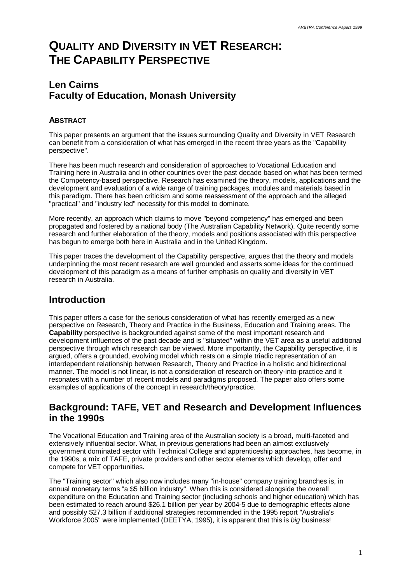# **QUALITY AND DIVERSITY IN VET RESEARCH: THE CAPABILITY PERSPECTIVE**

# **Len Cairns Faculty of Education, Monash University**

#### **ABSTRACT**

This paper presents an argument that the issues surrounding Quality and Diversity in VET Research can benefit from a consideration of what has emerged in the recent three years as the "Capability perspective".

There has been much research and consideration of approaches to Vocational Education and Training here in Australia and in other countries over the past decade based on what has been termed the Competency-based perspective. Research has examined the theory, models, applications and the development and evaluation of a wide range of training packages, modules and materials based in this paradigm. There has been criticism and some reassessment of the approach and the alleged "practical" and "industry led" necessity for this model to dominate.

More recently, an approach which claims to move "beyond competency" has emerged and been propagated and fostered by a national body (The Australian Capability Network). Quite recently some research and further elaboration of the theory, models and positions associated with this perspective has begun to emerge both here in Australia and in the United Kingdom.

This paper traces the development of the Capability perspective, argues that the theory and models underpinning the most recent research are well grounded and asserts some ideas for the continued development of this paradigm as a means of further emphasis on quality and diversity in VET research in Australia.

## **Introduction**

This paper offers a case for the serious consideration of what has recently emerged as a new perspective on Research, Theory and Practice in the Business, Education and Training areas. The **Capability** perspective is backgrounded against some of the most important research and development influences of the past decade and is "situated" within the VET area as a useful additional perspective through which research can be viewed. More importantly, the Capability perspective, it is argued, offers a grounded, evolving model which rests on a simple triadic representation of an interdependent relationship between Research, Theory and Practice in a holistic and bidirectional manner. The model is not linear, is not a consideration of research on theory-into-practice and it resonates with a number of recent models and paradigms proposed. The paper also offers some examples of applications of the concept in research/theory/practice.

## **Background: TAFE, VET and Research and Development Influences in the 1990s**

The Vocational Education and Training area of the Australian society is a broad, multi-faceted and extensively influential sector. What, in previous generations had been an almost exclusively government dominated sector with Technical College and apprenticeship approaches, has become, in the 1990s, a mix of TAFE, private providers and other sector elements which develop, offer and compete for VET opportunities.

The "Training sector" which also now includes many "in-house" company training branches is, in annual monetary terms "a \$5 billion industry". When this is considered alongside the overall expenditure on the Education and Training sector (including schools and higher education) which has been estimated to reach around \$26.1 billion per year by 2004-5 due to demographic effects alone and possibly \$27.3 billion if additional strategies recommended in the 1995 report "Australia's Workforce 2005" were implemented (DEETYA, 1995), it is apparent that this is *big* business!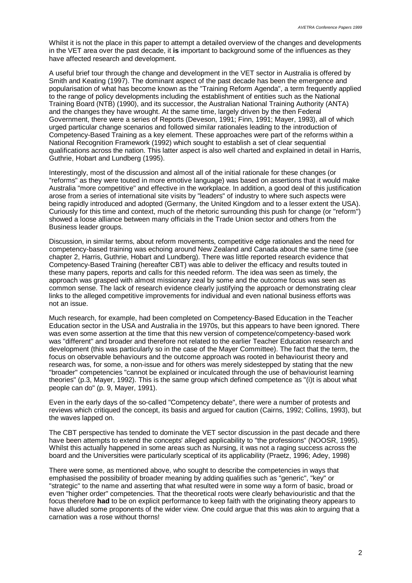Whilst it is not the place in this paper to attempt a detailed overview of the changes and developments in the VET area over the past decade, it **is** important to background some of the influences as they have affected research and development.

A useful brief tour through the change and development in the VET sector in Australia is offered by Smith and Keating (1997). The dominant aspect of the past decade has been the emergence and popularisation of what has become known as the "Training Reform Agenda", a term frequently applied to the range of policy developments including the establishment of entities such as the National Training Board (NTB) (1990), and its successor, the Australian National Training Authority (ANTA) and the changes they have wrought. At the same time, largely driven by the then Federal Government, there were a series of Reports (Deveson, 1991; Finn, 1991; Mayer, 1993), all of which urged particular change scenarios and followed similar rationales leading to the introduction of Competency-Based Training as a key element. These approaches were part of the reforms within a National Recognition Framework (1992) which sought to establish a set of clear sequential qualifications across the nation. This latter aspect is also well charted and explained in detail in Harris, Guthrie, Hobart and Lundberg (1995).

Interestingly, most of the discussion and almost all of the initial rationale for these changes (or "reforms" as they were touted in more emotive language) was based on assertions that it would make Australia "more competitive" and effective in the workplace. In addition, a good deal of this justification arose from a series of international site visits by "leaders" of industry to where such aspects were being rapidly introduced and adopted (Germany, the United Kingdom and to a lesser extent the USA). Curiously for this time and context, much of the rhetoric surrounding this push for change (or "reform") showed a loose alliance between many officials in the Trade Union sector and others from the Business leader groups.

Discussion, in similar terms, about reform movements, competitive edge rationales and the need for competency-based training was echoing around New Zealand and Canada about the same time (see chapter 2, Harris, Guthrie, Hobart and Lundberg). There was little reported research evidence that Competency-Based Training (hereafter CBT) was able to deliver the efficacy and results touted in these many papers, reports and calls for this needed reform. The idea was seen as timely, the approach was grasped with almost missionary zeal by some and the outcome focus was seen as common sense. The lack of research evidence clearly justifying the approach or demonstrating clear links to the alleged competitive improvements for individual and even national business efforts was not an issue.

Much research, for example, had been completed on Competency-Based Education in the Teacher Education sector in the USA and Australia in the 1970s, but this appears to have been ignored. There was even some assertion at the time that this new version of competence/competency-based work was "different" and broader and therefore not related to the earlier Teacher Education research and development (this was particularly so in the case of the Mayer Committee). The fact that the term, the focus on observable behaviours and the outcome approach was rooted in behaviourist theory and research was, for some, a non-issue and for others was merely sidestepped by stating that the new "broader" competencies "cannot be explained or inculcated through the use of behaviourist learning theories" (p.3, Mayer, 1992). This is the same group which defined competence as "(i)t is about what people can do" (p. 9, Mayer, 1991).

Even in the early days of the so-called "Competency debate", there were a number of protests and reviews which critiqued the concept, its basis and argued for caution (Cairns, 1992; Collins, 1993), but the waves lapped on.

The CBT perspective has tended to dominate the VET sector discussion in the past decade and there have been attempts to extend the concepts' alleged applicability to "the professions" (NOOSR, 1995). Whilst this actually happened in some areas such as Nursing, it was not a raging success across the board and the Universities were particularly sceptical of its applicability (Praetz, 1996; Adey, 1998)

There were some, as mentioned above, who sought to describe the competencies in ways that emphasised the possibility of broader meaning by adding qualifies such as "generic", "key" or "strategic" to the name and asserting that what resulted were in some way a form of basic, broad or even "higher order" competencies. That the theoretical roots were clearly behaviouristic and that the focus therefore **had** to be on explicit performance to keep faith with the originating theory appears to have alluded some proponents of the wider view. One could argue that this was akin to arguing that a carnation was a rose without thorns!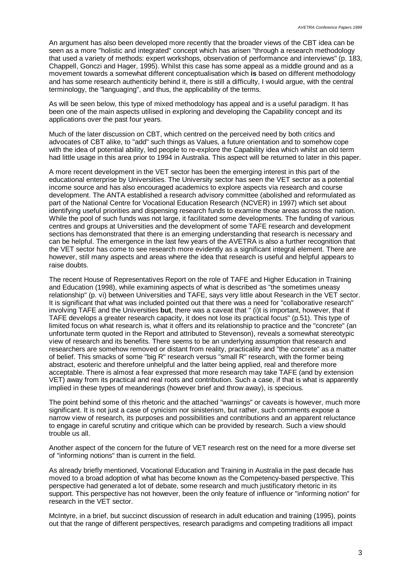An argument has also been developed more recently that the broader views of the CBT idea can be seen as a more "holistic and integrated" concept which has arisen "through a research methodology that used a variety of methods: expert workshops, observation of performance and interviews" (p. 183, Chappell, Gonczi and Hager, 1995). Whilst this case has some appeal as a middle ground and as a movement towards a somewhat different conceptualisation which **is** based on different methodology and has some research authenticity behind it, there is still a difficulty, I would argue, with the central terminology, the "languaging", and thus, the applicability of the terms.

As will be seen below, this type of mixed methodology has appeal and is a useful paradigm. It has been one of the main aspects utilised in exploring and developing the Capability concept and its applications over the past four years.

Much of the later discussion on CBT, which centred on the perceived need by both critics and advocates of CBT alike, to "add" such things as Values, a future orientation and to somehow cope with the idea of potential ability, led people to re-explore the Capability idea which whilst an old term had little usage in this area prior to 1994 in Australia. This aspect will be returned to later in this paper.

A more recent development in the VET sector has been the emerging interest in this part of the educational enterprise by Universities. The University sector has seen the VET sector as a potential income source and has also encouraged academics to explore aspects via research and course development. The ANTA established a research advisory committee (abolished and reformulated as part of the National Centre for Vocational Education Research (NCVER) in 1997) which set about identifying useful priorities and dispensing research funds to examine those areas across the nation. While the pool of such funds was not large, it facilitated some developments. The funding of various centres and groups at Universities and the development of some TAFE research and development sections has demonstrated that there is an emerging understanding that research is necessary and can be helpful. The emergence in the last few years of the AVETRA is also a further recognition that the VET sector has come to see research more evidently as a significant integral element. There are however, still many aspects and areas where the idea that research is useful and helpful appears to raise doubts.

The recent House of Representatives Report on the role of TAFE and Higher Education in Training and Education (1998), while examining aspects of what is described as "the sometimes uneasy relationship" (p. vi) between Universities and TAFE, says very little about Research in the VET sector. It is significant that what was included pointed out that there was a need for "collaborative research" involving TAFE and the Universities **but**, there was a caveat that " (i)t is important, however, that if TAFE develops a greater research capacity, it does not lose its practical focus" (p.51). This type of limited focus on what research is, what it offers and its relationship to practice and the "concrete" (an unfortunate term quoted in the Report and attributed to Stevenson), reveals a somewhat stereotypic view of research and its benefits. There seems to be an underlying assumption that research and researchers are somehow removed or distant from reality, practicality and "the concrete" as a matter of belief. This smacks of some "big R" research versus "small R" research, with the former being abstract, esoteric and therefore unhelpful and the latter being applied, real and therefore more acceptable. There is almost a fear expressed that more research may take TAFE (and by extension VET) away from its practical and real roots and contribution. Such a case, if that is what is apparently implied in these types of meanderings (however brief and throw away), is specious.

The point behind some of this rhetoric and the attached "warnings" or caveats is however, much more significant. It is not just a case of cynicism nor sinisterism, but rather, such comments expose a narrow view of research, its purposes and possibilities and contributions and an apparent reluctance to engage in careful scrutiny and critique which can be provided by research. Such a view should trouble us all.

Another aspect of the concern for the future of VET research rest on the need for a more diverse set of "informing notions" than is current in the field.

As already briefly mentioned, Vocational Education and Training in Australia in the past decade has moved to a broad adoption of what has become known as the Competency-based perspective. This perspective had generated a lot of debate, some research and much justificatory rhetoric in its support. This perspective has not however, been the only feature of influence or "informing notion" for research in the VET sector.

McIntyre, in a brief, but succinct discussion of research in adult education and training (1995), points out that the range of different perspectives, research paradigms and competing traditions all impact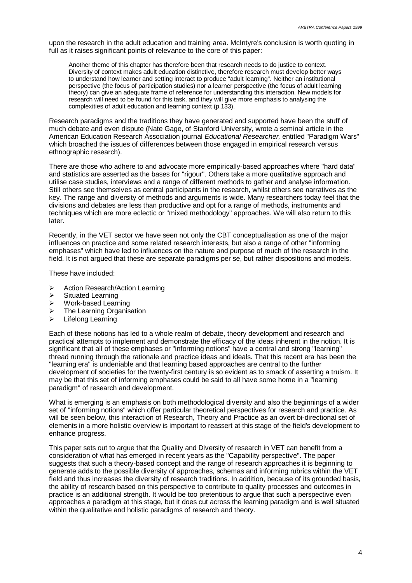upon the research in the adult education and training area. McIntyre's conclusion is worth quoting in full as it raises significant points of relevance to the core of this paper:

Another theme of this chapter has therefore been that research needs to do justice to context. Diversity of context makes adult education distinctive, therefore research must develop better ways to understand how learner and setting interact to produce "adult learning". Neither an institutional perspective (the focus of participation studies) nor a learner perspective (the focus of adult learning theory) can give an adequate frame of reference for understanding this interaction. New models for research will need to be found for this task, and they will give more emphasis to analysing the complexities of adult education and learning context (p.133).

Research paradigms and the traditions they have generated and supported have been the stuff of much debate and even dispute (Nate Gage, of Stanford University, wrote a seminal article in the American Education Research Association journal *Educational Researcher,* entitled "Paradigm Wars" which broached the issues of differences between those engaged in empirical research versus ethnographic research).

There are those who adhere to and advocate more empirically-based approaches where "hard data" and statistics are asserted as the bases for "rigour". Others take a more qualitative approach and utilise case studies, interviews and a range of different methods to gather and analyse information. Still others see themselves as central participants in the research, whilst others see narratives as the key. The range and diversity of methods and arguments is wide. Many researchers today feel that the divisions and debates are less than productive and opt for a range of methods, instruments and techniques which are more eclectic or "mixed methodology" approaches. We will also return to this later.

Recently, in the VET sector we have seen not only the CBT conceptualisation as one of the major influences on practice and some related research interests, but also a range of other "informing emphases" which have led to influences on the nature and purpose of much of the research in the field. It is not argued that these are separate paradigms per se, but rather dispositions and models.

These have included:

- **▶ Action Research/Action Learning**
- $\triangleright$  Situated Learning
- $\triangleright$  Work-based Learning
- $\triangleright$  The Learning Organisation
- $\triangleright$  Lifelong Learning

Each of these notions has led to a whole realm of debate, theory development and research and practical attempts to implement and demonstrate the efficacy of the ideas inherent in the notion. It is significant that all of these emphases or "informing notions" have a central and strong "learning" thread running through the rationale and practice ideas and ideals. That this recent era has been the "learning era" is undeniable and that learning based approaches are central to the further development of societies for the twenty-first century is so evident as to smack of asserting a truism. It may be that this set of informing emphases could be said to all have some home in a "learning paradigm" of research and development.

What is emerging is an emphasis on both methodological diversity and also the beginnings of a wider set of "informing notions" which offer particular theoretical perspectives for research and practice. As will be seen below, this interaction of Research, Theory and Practice as an overt bi-directional set of elements in a more holistic overview is important to reassert at this stage of the field's development to enhance progress.

This paper sets out to argue that the Quality and Diversity of research in VET can benefit from a consideration of what has emerged in recent years as the "Capability perspective". The paper suggests that such a theory-based concept and the range of research approaches it is beginning to generate adds to the possible diversity of approaches, schemas and informing rubrics within the VET field and thus increases the diversity of research traditions. In addition, because of its grounded basis, the ability of research based on this perspective to contribute to quality processes and outcomes in practice is an additional strength. It would be too pretentious to argue that such a perspective even approaches a paradigm at this stage, but it does cut across the learning paradigm and is well situated within the qualitative and holistic paradigms of research and theory.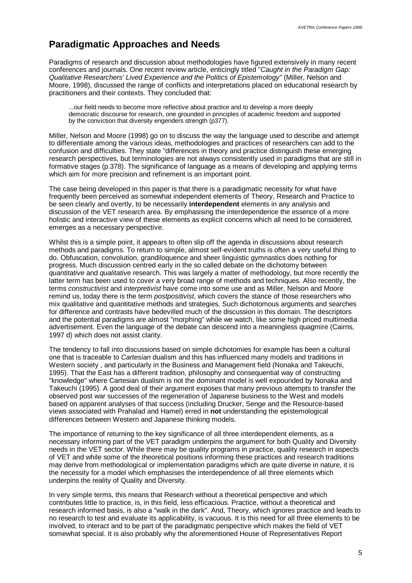#### **Paradigmatic Approaches and Needs**

Paradigms of research and discussion about methodologies have figured extensively in many recent conferences and journals. One recent review article, enticingly titled "*Caught in the Paradigm Gap: Qualitative Researchers' Lived Experience and the Politics of Epistemology"* (Miller, Nelson and Moore, 1998), discussed the range of conflicts and interpretations placed on educational research by practitioners and their contexts. They concluded that:

...our field needs to become more reflective about practice and to develop a more deeply democratic discourse for research, one grounded in principles of academic freedom and supported by the conviction that diversity engenders strength (p377).

Miller, Nelson and Moore (1998) go on to discuss the way the language used to describe and attempt to differentiate among the various ideas, methodologies and practices of researchers can add to the confusion and difficulties. They state "differences in theory and practice distinguish these emerging research perspectives, but terminologies are not always consistently used in paradigms that are still in formative stages (p.378). The significance of language as a means of developing and applying terms which aim for more precision and refinement is an important point.

The case being developed in this paper is that there is a paradigmatic necessity for what have frequently been perceived as somewhat independent elements of Theory, Research and Practice to be seen clearly and overtly, to be necessarily **interdependent** elements in any analysis and discussion of the VET research area. By emphasising the interdependence the essence of a more holistic and interactive view of these elements as explicit concerns which all need to be considered, emerges as a necessary perspective.

Whilst this is a simple point, it appears to often slip off the agenda in discussions about research methods and paradigms. To return to simple, almost self-evident truths is often a very useful thing to do. Obfuscation, convolution, grandiloquence and sheer linguistic gymnastics does nothing for progress. Much discussion centred early in the so called debate on the dichotomy between *quantitative* and *qualitative* research. This was largely a matter of methodology, but more recently the latter term has been used to cover a very broad range of methods and techniques. Also recently, the terms *constructivist* and *interpretivist* have come into some use and as Miller, Nelson and Moore remind us, today there is the term *postpositivist*, which covers the stance of those researchers who mix qualitative and quantitative methods and strategies. Such dichotomous arguments and searches for difference and contrasts have bedevilled much of the discussion in this domain. The descriptors and the potential paradigms are almost "morphing" while we watch, like some high priced multimedia advertisement. Even the language of the debate can descend into a meaningless quagmire (Cairns, 1997 d) which does not assist clarity.

The tendency to fall into discussions based on simple dichotomies for example has been a cultural one that is traceable to *Cartesian* dualism and this has influenced many models and traditions in Western society , and particularly in the Business and Management field (Nonaka and Takeuchi, 1995). That the East has a different tradition, philosophy and consequential way of constructing "knowledge" where Cartesian dualism is not the dominant model is well expounded by Nonaka and Takeuchi (1995). A good deal of their argument exposes that many previous attempts to transfer the observed post war successes of the regeneration of Japanese business to the West and models based on apparent analyses of that success (including Drucker, Senge and the Resource-based views associated with Prahalad and Hamel) erred in **not** understanding the epistemological differences between Western and Japanese thinking models.

The importance of returning to the key significance of all three interdependent elements, as a necessary informing part of the VET paradigm underpins the argument for both Quality and Diversity needs in the VET sector. While there may be quality programs in practice, quality research in aspects of VET and while some of the theoretical positions informing these practices and research traditions may derive from methodological or implementation paradigms which are quite diverse in nature, it is the necessity for a model which emphasises the interdependence of all three elements which underpins the reality of Quality and Diversity.

In very simple terms, this means that Research without a theoretical perspective and which contributes little to practice, is, in this field, less efficacious. Practice, without a theoretical and research informed basis, is also a "walk in the dark". And, Theory, which ignores practice and leads to no research to test and evaluate its applicability, is vacuous. It is this need for all three elements to be involved, to interact and to be part of the paradigmatic perspective which makes the field of VET somewhat special. It is also probably why the aforementioned House of Representatives Report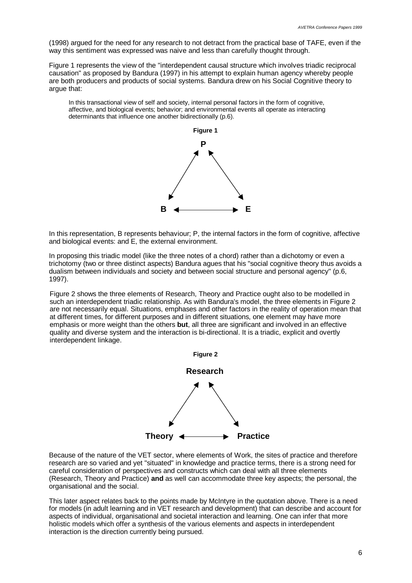(1998) argued for the need for any research to not detract from the practical base of TAFE, even if the way this sentiment was expressed was naive and less than carefully thought through.

Figure 1 represents the view of the "interdependent causal structure which involves triadic reciprocal causation" as proposed by Bandura (1997) in his attempt to explain human agency whereby people are both producers and products of social systems. Bandura drew on his Social Cognitive theory to argue that:

In this transactional view of self and society, internal personal factors in the form of cognitive, affective, and biological events; behavior; and environmental events all operate as interacting determinants that influence one another bidirectionally (p.6).



In this representation, B represents behaviour; P, the internal factors in the form of cognitive, affective and biological events: and E, the external environment.

In proposing this triadic model (like the three notes of a chord) rather than a dichotomy or even a trichotomy (two or three distinct aspects) Bandura agues that his "social cognitive theory thus avoids a dualism between individuals and society and between social structure and personal agency" (p.6, 1997).

Figure 2 shows the three elements of Research, Theory and Practice ought also to be modelled in such an interdependent triadic relationship. As with Bandura's model, the three elements in Figure 2 are not necessarily equal. Situations, emphases and other factors in the reality of operation mean that at different times, for different purposes and in different situations, one element may have more emphasis or more weight than the others **but**, all three are significant and involved in an effective quality and diverse system and the interaction is bi-directional. It is a triadic, explicit and overtly interdependent linkage.



Because of the nature of the VET sector, where elements of Work, the sites of practice and therefore research are so varied and yet "situated" in knowledge and practice terms, there is a strong need for careful consideration of perspectives and constructs which can deal with all three elements (Research, Theory and Practice) **and** as well can accommodate three key aspects; the personal, the organisational and the social.

This later aspect relates back to the points made by McIntyre in the quotation above. There is a need for models (in adult learning and in VET research and development) that can describe and account for aspects of individual, organisational and societal interaction and learning. One can infer that more holistic models which offer a synthesis of the various elements and aspects in interdependent interaction is the direction currently being pursued.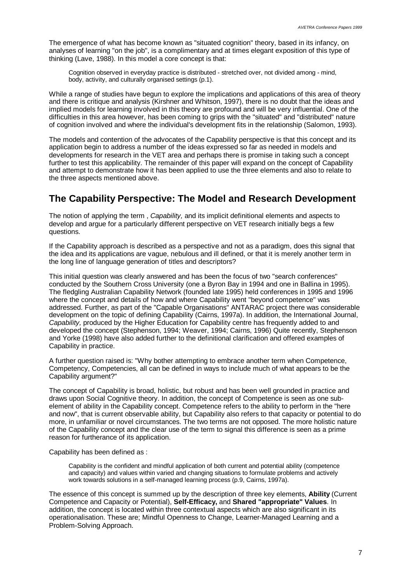The emergence of what has become known as "situated cognition" theory, based in its infancy, on analyses of learning "on the job", is a complimentary and at times elegant exposition of this type of thinking (Lave, 1988). In this model a core concept is that:

Cognition observed in everyday practice is distributed - stretched over, not divided among - mind, body, activity, and culturally organised settings (p.1).

While a range of studies have begun to explore the implications and applications of this area of theory and there is critique and analysis (Kirshner and Whitson, 1997), there is no doubt that the ideas and implied models for learning involved in this theory are profound and will be very influential. One of the difficulties in this area however, has been coming to grips with the "situated" and "distributed" nature of cognition involved and where the individual's development fits in the relationship (Salomon, 1993).

The models and contention of the advocates of the Capability perspective is that this concept and its application begin to address a number of the ideas expressed so far as needed in models and developments for research in the VET area and perhaps there is promise in taking such a concept further to test this applicability. The remainder of this paper will expand on the concept of Capability and attempt to demonstrate how it has been applied to use the three elements and also to relate to the three aspects mentioned above.

## **The Capability Perspective: The Model and Research Development**

The notion of applying the term , *Capability,* and its implicit definitional elements and aspects to develop and argue for a particularly different perspective on VET research initially begs a few questions.

If the Capability approach is described as a perspective and not as a paradigm, does this signal that the idea and its applications are vague, nebulous and ill defined, or that it is merely another term in the long line of language generation of titles and descriptors?

This initial question was clearly answered and has been the focus of two "search conferences" conducted by the Southern Cross University (one a Byron Bay in 1994 and one in Ballina in 1995). The fledgling Australian Capability Network (founded late 1995) held conferences in 1995 and 1996 where the concept and details of how and where Capability went "beyond competence" was addressed. Further, as part of the "Capable Organisations" ANTARAC project there was considerable development on the topic of defining Capability (Cairns, 1997a). In addition, the International Journal, *Capability,* produced by the Higher Education for Capability centre has frequently added to and developed the concept (Stephenson, 1994; Weaver, 1994; Cairns, 1996) Quite recently, Stephenson and Yorke (1998) have also added further to the definitional clarification and offered examples of Capability in practice.

A further question raised is: "Why bother attempting to embrace another term when Competence, Competency, Competencies, all can be defined in ways to include much of what appears to be the Capability argument?"

The concept of Capability is broad, holistic, but robust and has been well grounded in practice and draws upon Social Cognitive theory. In addition, the concept of Competence is seen as one subelement of ability in the Capability concept. Competence refers to the ability to perform in the "here and now", that is current observable ability, but Capability also refers to that capacity or potential to do more, in unfamiliar or novel circumstances. The two terms are not opposed. The more holistic nature of the Capability concept and the clear use of the term to signal this difference is seen as a prime reason for furtherance of its application.

Capability has been defined as :

Capability is the confident and mindful application of both current and potential ability (competence and capacity) and values within varied and changing situations to formulate problems and actively work towards solutions in a self-managed learning process (p.9, Cairns, 1997a).

The essence of this concept is summed up by the description of three key elements, **Ability** (Current Competence and Capacity or Potential), **Self-Efficacy,** and **Shared "appropriate" Values**. In addition, the concept is located within three contextual aspects which are also significant in its operationalisation. These are; Mindful Openness to Change, Learner-Managed Learning and a Problem-Solving Approach.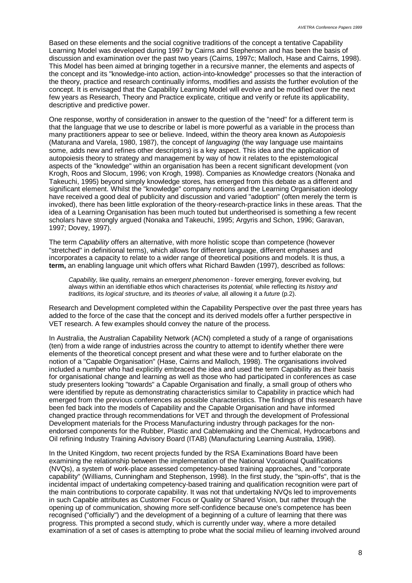Based on these elements and the social cognitive traditions of the concept a tentative Capability Learning Model was developed during 1997 by Cairns and Stephenson and has been the basis of discussion and examination over the past two years (Cairns, 1997c; Malloch, Hase and Cairns, 1998). This Model has been aimed at bringing together in a recursive manner, the elements and aspects of the concept and its "knowledge-into action, action-into-knowledge" processes so that the interaction of the theory, practice and research continually informs, modifies and assists the further evolution of the concept. It is envisaged that the Capability Learning Model will evolve and be modified over the next few years as Research, Theory and Practice explicate, critique and verify or refute its applicability, descriptive and predictive power.

One response, worthy of consideration in answer to the question of the "need" for a different term is that the language that we use to describe or label is more powerful as a variable in the process than many practitioners appear to see or believe. Indeed, within the theory area known as *Autopoiesis* (Maturana and Varela, 1980, 1987), the concept of *languaging* (the way language use maintains some, adds new and refines other descriptors) is a key aspect. This idea and the application of autopoiesis theory to strategy and management by way of how it relates to the epistemological aspects of the "knowledge" within an organisation has been a recent significant development (von Krogh, Roos and Slocum, 1996; von Krogh, 1998). Companies as Knowledge creators (Nonaka and Takeuchi, 1995) beyond simply knowledge stores, has emerged from this debate as a different and significant element. Whilst the "knowledge" company notions and the Learning Organisation ideology have received a good deal of publicity and discussion and varied "adoption" (often merely the term is invoked), there has been little exploration of the theory-research-practice links in these areas. That the idea of a Learning Organisation has been much touted but undertheorised is something a few recent scholars have strongly argued (Nonaka and Takeuchi, 1995; Argyris and Schon, 1996; Garavan, 1997; Dovey, 1997).

The term *Capability* offers an alternative, with more holistic scope than competence (however "stretched" in definitional terms), which allows for different language, different emphases and incorporates a capacity to relate to a wider range of theoretical positions and models. It is thus, a **term,** an enabling language unit which offers what Richard Bawden (1997), described as follows:

*Capability,* like quality, remains an *emergent phenomenon* - forever emerging, forever evolving, but always within an identifiable ethos which characterises its *potential,* while reflecting its *history and traditions,* its *logical structure,* and its *theories of value,* all allowing it a *future* (p.2).

Research and Development completed within the Capability Perspective over the past three years has added to the force of the case that the concept and its derived models offer a further perspective in VET research. A few examples should convey the nature of the process.

In Australia, the Australian Capability Network (ACN) completed a study of a range of organisations (ten) from a wide range of industries across the country to attempt to identify whether there were elements of the theoretical concept present and what these were and to further elaborate on the notion of a "Capable Organisation" (Hase, Cairns and Malloch, 1998). The organisations involved included a number who had explicitly embraced the idea and used the term Capability as their basis for organisational change and learning as well as those who had participated in conferences as case study presenters looking "towards" a Capable Organisation and finally, a small group of others who were identified by repute as demonstrating characteristics similar to Capability in practice which had emerged from the previous conferences as possible characteristics. The findings of this research have been fed back into the models of Capability and the Capable Organisation and have informed changed practice through recommendations for VET and through the development of Professional Development materials for the Process Manufacturing industry through packages for the nonendorsed components for the Rubber, Plastic and Cablemaking and the Chemical, Hydrocarbons and Oil refining Industry Training Advisory Board (ITAB) (Manufacturing Learning Australia, 1998).

In the United Kingdom, two recent projects funded by the RSA Examinations Board have been examining the relationship between the implementation of the National Vocational Qualifications (NVQs), a system of work-place assessed competency-based training approaches, and "corporate capability" (Williams, Cunningham and Stephenson, 1998). In the first study, the "spin-offs", that is the incidental impact of undertaking competency-based training and qualification recognition were part of the main contributions to corporate capability. It was not that undertaking NVQs led to improvements in such Capable attributes as Customer Focus or Quality or Shared Vision, but rather through the opening up of communication, showing more self-confidence because one's competence has been recognised ("officially") and the development of a beginning of a culture of learning that there was progress. This prompted a second study, which is currently under way, where a more detailed examination of a set of cases is attempting to probe what the social milieu of learning involved around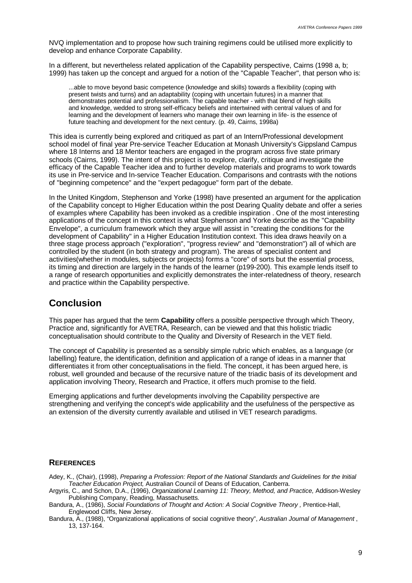NVQ implementation and to propose how such training regimens could be utilised more explicitly to develop and enhance Corporate Capability.

In a different, but nevertheless related application of the Capability perspective, Cairns (1998 a, b; 1999) has taken up the concept and argued for a notion of the "Capable Teacher", that person who is:

...able to move beyond basic competence (knowledge and skills) towards a flexibility (coping with present twists and turns) and an adaptability (coping with uncertain futures) in a manner that demonstrates potential and professionalism. The capable teacher - with that blend of high skills and knowledge, wedded to strong self-efficacy beliefs and intertwined with central values of and for learning and the development of learners who manage their own learning in life- is the essence of future teaching and development for the next century. (p. 49, Cairns, 1998a)

This idea is currently being explored and critiqued as part of an Intern/Professional development school model of final year Pre-service Teacher Education at Monash University's Gippsland Campus where 18 Interns and 18 Mentor teachers are engaged in the program across five state primary schools (Cairns, 1999). The intent of this project is to explore, clarify, critique and investigate the efficacy of the Capable Teacher idea and to further develop materials and programs to work towards its use in Pre-service and In-service Teacher Education. Comparisons and contrasts with the notions of "beginning competence" and the "expert pedagogue" form part of the debate.

In the United Kingdom, Stephenson and Yorke (1998) have presented an argument for the application of the Capability concept to Higher Education within the post Dearing Quality debate and offer a series of examples where Capability has been invoked as a credible inspiration . One of the most interesting applications of the concept in this context is what Stephenson and Yorke describe as the "Capability Envelope", a curriculum framework which they argue will assist in "creating the conditions for the development of Capability" in a Higher Education Institution context. This idea draws heavily on a three stage process approach ("exploration", "progress review" and "demonstration") all of which are controlled by the student (in both strategy and program). The areas of specialist content and activities(whether in modules, subjects or projects) forms a "core" of sorts but the essential process, its timing and direction are largely in the hands of the learner (p199-200). This example lends itself to a range of research opportunities and explicitly demonstrates the inter-relatedness of theory, research and practice within the Capability perspective.

## **Conclusion**

This paper has argued that the term **Capability** offers a possible perspective through which Theory, Practice and, significantly for AVETRA, Research, can be viewed and that this holistic triadic conceptualisation should contribute to the Quality and Diversity of Research in the VET field.

The concept of Capability is presented as a sensibly simple rubric which enables, as a language (or labelling) feature, the identification, definition and application of a range of ideas in a manner that differentiates it from other conceptualisations in the field. The concept, it has been argued here, is robust, well grounded and because of the recursive nature of the triadic basis of its development and application involving Theory, Research and Practice, it offers much promise to the field.

Emerging applications and further developments involving the Capability perspective are strengthening and verifying the concept's wide applicability and the usefulness of the perspective as an extension of the diversity currently available and utilised in VET research paradigms.

#### **REFERENCES**

Adey, K., (Chair), (1998), *Preparing a Profession: Report of the National Standards and Guidelines for the Initial Teacher Education Project,* Australian Council of Deans of Education, Canberra.

Argyris, C., and Schon, D.A., (1996), *Organizational Learning 11: Theory, Method, and Practice,* Addison-Wesley Publishing Company, Reading, Massachusetts.

Bandura, A., (1986), *Social Foundations of Thought and Action: A Social Cognitive Theory*, Prentice-Hall, Englewood Cliffs, New Jersey.

Bandura, A., (1988), "Organizational applications of social cognitive theory", *Australian Journal of Management* , 13, 137-164.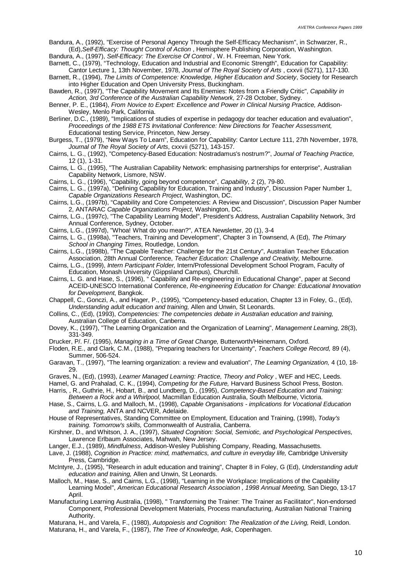Bandura, A., (1992), "Exercise of Personal Agency Through the Self-Efficacy Mechanism", in Schwarzer, R., (Ed),*Self-Efficacy: Thought Control of Action* , Hemisphere Publishing Corporation, Washington.

Bandura, A., (1997), *Self-Efficacy: The Exercise Of Control ,* W. H. Freeman, New York.

Barnett, C., (1979), "Technology, Education and Industrial and Economic Strength", Education for Capability:

Cantor Lecture 1, 13th November, 1978, *Journal of The Royal Society of Arts* , cxxvii (5271), 117-130. Barnett, R., (1994), *The Limits of Competence: Knowledge, Higher Education and Society*, Society for Research into Higher Education and Open University Press, Buckingham.

Bawden, R., (1997), "The Capability Movement and Its Enemies: Notes from a Friendly Critic", *Capability in Action, 3rd Conference of the Australian Capability Network,* 27-28 October, Sydney.

Benner, P. E., (1984), *From Novice to Expert: Excellence and Power in Clinical Nursing Practice*, Addison-Wesley, Menlo Park, California.

Berliner, D.C., (1989), "Implications of studies of expertise in pedagogy dor teacher education and evaluation", *Proceedings of the 1988 ETS Invitational Conference: New Directions for Teacher Assessment,* Educational testing Service, Princeton, New Jersey.

Burgess, T., (1979), "New Ways To Learn", Education for Capability: Cantor Lecture 111, 27th November, 1978, *Journal of The Royal Society of Arts*, cxxvii (5271), 143-157.

- Cairns, L. G., (1992), "Competency-Based Education: Nostradamus's nostrum?", *Journal of Teaching Practice,* 12 (1), 1-31.
- Cairns, L. G., (1995), "The Australian Capability Network: emphasising partnerships for enterprise", Australian Capability Network, Lismore, NSW.
- Cairns, L. G., (1996), "Capability, going beyond competence", *Capability*, 2 (2), 79-80.
- Cairns, L. G., (1997a), "Defining Capability for Education, Training and Industry", Discussion Paper Number 1, *Capable Organizations Research Project*, Washington, DC.
- Cairns, L.G., (1997b), "Capability and Core Competencies: A Review and Discussion", Discussion Paper Number 2, ANTARAC *Capable Organizations Project*, Washington, DC.
- Cairns, L.G., (1997c), "The Capability Learning Model", President's Address, Australian Capability Network, 3rd Annual Conference, Sydney, October.
- Cairns, L.G., (1997d), "Whoa! What do you mean?", ATEA Newsletter, 20 (1), 3-4
- Cairns, L. G., (1998a), "Teachers, Training and Development", Chapter 3 in Townsend, A (Ed), *The Primary School in Changing Times,* Routledge, London.
- Cairns, L.G., (1998b), "The Capable Teacher: Challenge for the 21st Century", Australian Teacher Education Association, 28th Annual Conference, *Teacher Education: Challenge and Creativity,* Melbourne.

Cairns, L.G., (1999), *Intern Participant Folder,* Intern/Professional Development School Program, Faculty of Education, Monash University (Gippsland Campus), Churchill.

Cairns, L. G. and Hase, S., (1996), " Capability and Re-engineering in Educational Change", paper at Second ACEID-UNESCO International Conference, *Re-engineering Education for Change: Educational Innovation for Development*, Bangkok.

- Chappell, C., Gonczi, A., and Hager, P., (1995), "Competency-based education, Chapter 13 in Foley, G., (Ed), *Understanding adult education and training,* Allen and Unwin, St Leonards.
- Collins, C., (Ed), (1993), *Competencies: The competencies debate in Australian education and training,* Australian College of Education, Canberra.
- Dovey, K., (1997), "The Learning Organization and the Organization of Learning", *Management Learning,* 28(3), 331-349.
- Drucker, P/. F/. (1995), *Managing in a Time of Great Change,* Butterworth/Heinemann, Oxford.

Floden, R.E., and Clark, C.M., (1988), "Preparing teachers for Uncertainty", *Teachers College Record,* 89 (4), Summer, 506-524.

Garavan, T., (1997), "The learning organization: a review and evaluation", *The Learning Organization,* 4 (10, 18- 29.

Graves, N., (Ed), (1993), *Learner Managed Learning: Practice, Theory and Policy* , WEF and HEC, Leeds.

Hamel, G. and Prahalad, C. K., (1994), *Competing for the Future*, Harvard Business School Press. Boston. Harris, , R., Guthrie, H., Hobart, B., and Lundberg, D., (1995), *Competency-Based Education and Training:*

*Between a Rock and a Whirlpool,* Macmillan Education Australia, South Melbourne, Victoria.

Hase, S., Cairns, L.G. and Malloch, M., (1998), *Capable Organisations - implications for Vocational Education and Training,* ANTA and NCVER, Adelaide.

House of Representatives, Standing Committee on Employment, Education and Training, (1998), *Today's training. Tomorrow's skills,* Commonwealth of Australia, Canberra.

- Kirshner, D., and Whitson, J. A., (1997), *Situated Cognition: Social, Semiotic, and Psychological Perspectives,* Lawrence Erlbaum Associates, Mahwah, New Jersey.
- Langer, E.J., (1989), *Mindfulness*, Addison-Wesley Publishing Company, Reading, Massachusetts.

Lave, J. (1988), *Cognition in Practice: mind, mathematics, and culture in everyday life,* Cambridge University Press, Cambridge.

- McIntyre, J., (1995), "Research in adult education and training", Chapter 8 in Foley, G (Ed), *Understanding adult education and training,* Allen and Unwin, St Leonards.
- Malloch, M., Hase, S., and Cairns, L.G., (1998), "Learning in the Workplace: Implications of the Capability Learning Model", *American Educational Research Association , 1998 Annual Meeting,* San Diego, 13-17 April.
- Manufacturing Learning Australia, (1998), " Transforming the Trainer: The Trainer as Facilitator", Non-endorsed Component, Professional Development Materials, Process manufacturing, Australian National Training Authority.

Maturana, H., and Varela, F., (1980), *Autopoiesis and Cognition: The Realization of the Living*, Reidl, London. Maturana, H., and Varela, F., (1987), *The Tree of Knowledge,* Ask, Copenhagen.